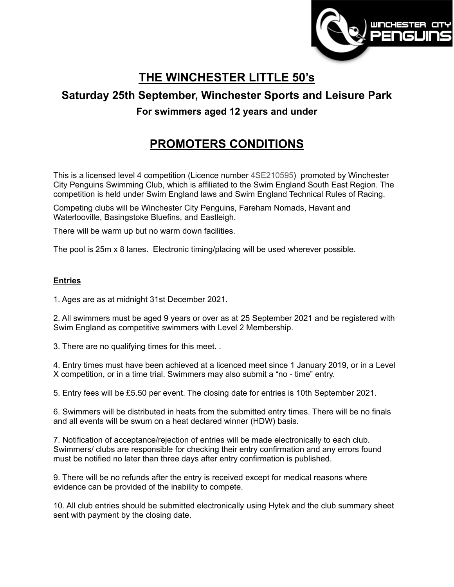

# **THE WINCHESTER LITTLE 50's**

## **Saturday 25th September, Winchester Sports and Leisure Park**

### **For swimmers aged 12 years and under**

## **PROMOTERS CONDITIONS**

This is a licensed level 4 competition (Licence number 4SE210595) promoted by Winchester City Penguins Swimming Club, which is affiliated to the Swim England South East Region. The competition is held under Swim England laws and Swim England Technical Rules of Racing.

Competing clubs will be Winchester City Penguins, Fareham Nomads, Havant and Waterlooville, Basingstoke Bluefins, and Eastleigh.

There will be warm up but no warm down facilities.

The pool is 25m x 8 lanes. Electronic timing/placing will be used wherever possible.

#### **Entries**

1. Ages are as at midnight 31st December 2021.

2. All swimmers must be aged 9 years or over as at 25 September 2021 and be registered with Swim England as competitive swimmers with Level 2 Membership.

3. There are no qualifying times for this meet. .

4. Entry times must have been achieved at a licenced meet since 1 January 2019, or in a Level X competition, or in a time trial. Swimmers may also submit a "no - time" entry.

5. Entry fees will be £5.50 per event. The closing date for entries is 10th September 2021.

6. Swimmers will be distributed in heats from the submitted entry times. There will be no finals and all events will be swum on a heat declared winner (HDW) basis.

7. Notification of acceptance/rejection of entries will be made electronically to each club. Swimmers/ clubs are responsible for checking their entry confirmation and any errors found must be notified no later than three days after entry confirmation is published.

9. There will be no refunds after the entry is received except for medical reasons where evidence can be provided of the inability to compete.

10. All club entries should be submitted electronically using Hytek and the club summary sheet sent with payment by the closing date.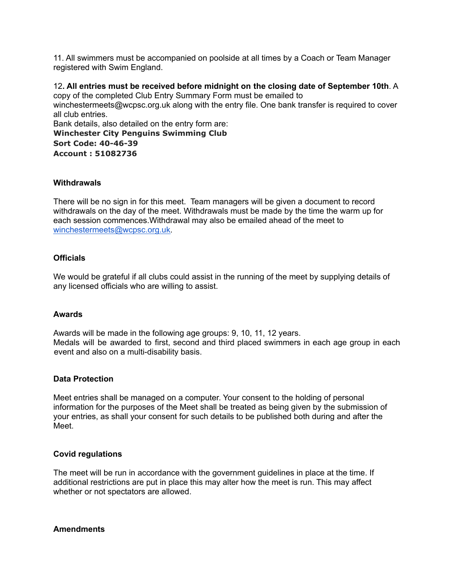11. All swimmers must be accompanied on poolside at all times by a Coach or Team Manager registered with Swim England.

12**. All entries must be received before midnight on the closing date of September 10th**. A copy of the completed Club Entry Summary Form must be emailed to winchestermeet[s@wcpsc.org.uk](mailto:openmeets@wcpsc.org.uk) along with the entry file. One bank transfer is required to cover all club entries. Bank details, also detailed on the entry form are: **Winchester City Penguins Swimming Club Sort Code: 40-46-39 Account : 51082736**

#### **Withdrawals**

There will be no sign in for this meet. Team managers will be given a document to record withdrawals on the day of the meet. Withdrawals must be made by the time the warm up for each session commences.Withdrawal may also be emailed ahead of the meet to [winchestermeets@wcpsc.org.uk.](mailto:winchestermeets@wcpsc.org.uk)

#### **Officials**

We would be grateful if all clubs could assist in the running of the meet by supplying details of any licensed officials who are willing to assist.

#### **Awards**

Awards will be made in the following age groups: 9, 10, 11, 12 years. Medals will be awarded to first, second and third placed swimmers in each age group in each event and also on a multi-disability basis.

#### **Data Protection**

Meet entries shall be managed on a computer. Your consent to the holding of personal information for the purposes of the Meet shall be treated as being given by the submission of your entries, as shall your consent for such details to be published both during and after the Meet.

#### **Covid regulations**

The meet will be run in accordance with the government guidelines in place at the time. If additional restrictions are put in place this may alter how the meet is run. This may affect whether or not spectators are allowed.

#### **Amendments**